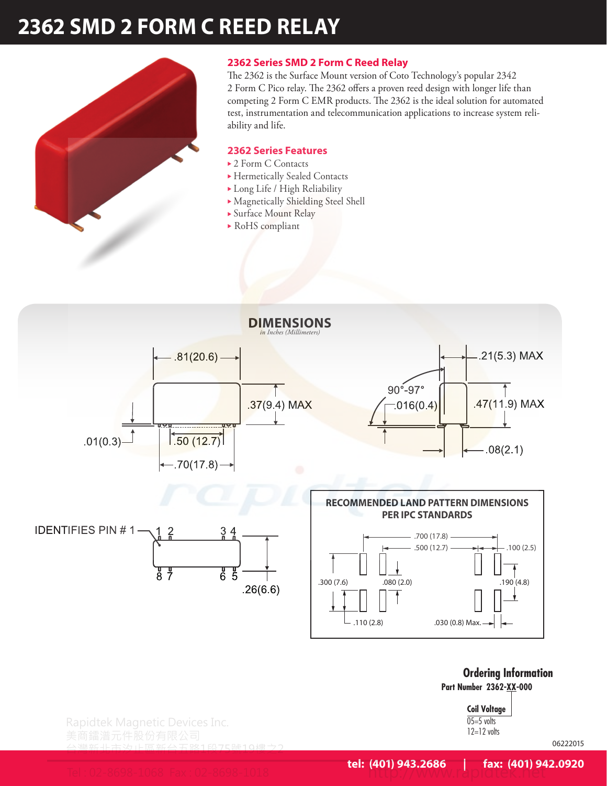# **2362 SMD 2 FORM C REED RELAY**



## **2362 Series SMD 2 Form C Reed Relay**

The 2362 is the Surface Mount version of Coto Technology's popular 2342 2 Form C Pico relay. The 2362 offers a proven reed design with longer life than competing 2 Form C EMR products. The 2362 is the ideal solution for automated test, instrumentation and telecommunication applications to increase system reliability and life.

### **2362 Series Features**

- $\rightarrow$  2 Form C Contacts
- ▶ Hermetically Sealed Contacts
- Long Life / High Reliability
- <sup>u</sup> Magnetically Shielding Steel Shell
- ▶ Surface Mount Relay
- $\triangleright$  RoHS compliant



**Ordering Information Part Number 2362-XX-000**

> **Coil Voltage**  $05=5$  volts  $12=12$  volts

Rapidtek Magnetic Devices Inc.

台灣新北市汐止區新台五路1段75號19樓之2

06222015

Tel : 02-8698-1068 Fax : 02-8698-1018 http://www.rapidtek.net